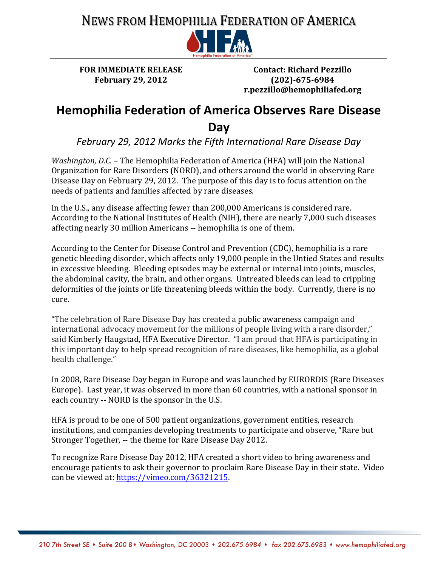## NEWS FROM HEMOPHILIA FEDERATION OF AMERICA



**FOR IMMEDIATE RELEASE February\$29, 2012\$**

**Contact: Richard Pezzillo (202)-675-6984 r.pezzillo@hemophiliafed.org**

## **Hemophilia Federation of America Observes Rare Disease Day\*\*\*\*\*\*\*\*\*\*\*\*\*\*\*\*\*\*\*\*\*\*\*\*\*\*\*\*\*\*\*\*\*\*\*\*\*\*\*\*\*\*\*\*\*\*\*\*\*\*\*\*\*\*\*\*\*\*\*\*\*\*\*\*\*\*\*\*\*\*\*\*\*\*\*\*\*\*\*\*\*\*\*\*\*\*\*\*\*\*\*\*\*\*\*\*\*\*\*\*\*\*\*\*\*\***

February 29, 2012 Marks the Fifth International Rare Disease Day

*Washington, D.C.* – The Hemophilia Federation of America (HFA) will join the National Organization for Rare Disorders (NORD), and others around the world in observing Rare Disease Day on February 29, 2012. The purpose of this day is to focus attention on the needs of patients and families affected by rare diseases.

In the U.S., any disease affecting fewer than 200,000 Americans is considered rare. According to the National Institutes of Health (NIH), there are nearly 7,000 such diseases affecting nearly 30 million Americans -- hemophilia is one of them.

According to the Center for Disease Control and Prevention (CDC), hemophilia is a rare genetic bleeding disorder, which affects only 19,000 people in the Untied States and results in excessive bleeding. Bleeding episodes may be external or internal into joints, muscles, the abdominal cavity, the brain, and other organs. Untreated bleeds can lead to crippling deformities of the joints or life threatening bleeds within the body. Currently, there is no cure.

"The celebration of Rare Disease Day has created a public awareness campaign and international advocacy movement for the millions of people living with a rare disorder," said Kimberly Haugstad, HFA Executive Director. "I am proud that HFA is participating in this important day to help spread recognition of rare diseases, like hemophilia, as a global health challenge."

In 2008, Rare Disease Day began in Europe and was launched by EURORDIS (Rare Diseases) Europe). Last year, it was observed in more than 60 countries, with a national sponsor in each country -- NORD is the sponsor in the U.S.

HFA is proud to be one of 500 patient organizations, government entities, research institutions, and companies developing treatments to participate and observe, "Rare but" Stronger Together, -- the theme for Rare Disease Day 2012.

To recognize Rare Disease Day 2012, HFA created a short video to bring awareness and encourage patients to ask their governor to proclaim Rare Disease Day in their state. Video can be viewed at: https://vimeo.com/36321215.